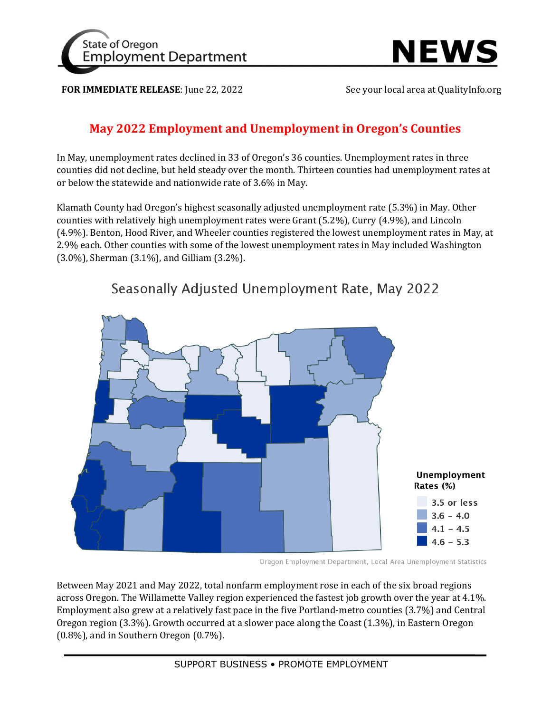



**FOR IMMEDIATE RELEASE:** June 22, 2022 See your local area at QualityInfo.org

## **May 2022 Employment and Unemployment in Oregon's Counties**

In May, unemployment rates declined in 33 of Oregon's 36 counties. Unemployment rates in three counties did not decline, but held steady over the month. Thirteen counties had unemployment rates at or below the statewide and nationwide rate of 3.6% in May.

Klamath County had Oregon's highest seasonally adjusted unemployment rate (5.3%) in May. Other counties with relatively high unemployment rates were Grant (5.2%), Curry (4.9%), and Lincoln (4.9%). Benton, Hood River, and Wheeler counties registered the lowest unemployment rates in May, at 2.9% each. Other counties with some of the lowest unemployment rates in May included Washington (3.0%), Sherman (3.1%), and Gilliam (3.2%).



Seasonally Adjusted Unemployment Rate, May 2022

Oregon Employment Department, Local Area Unemployment Statistics

Between May 2021 and May 2022, total nonfarm employment rose in each of the six broad regions across Oregon. The Willamette Valley region experienced the fastest job growth over the year at 4.1%. Employment also grew at a relatively fast pace in the five Portland-metro counties (3.7%) and Central Oregon region (3.3%). Growth occurred at a slower pace along the Coast (1.3%), in Eastern Oregon (0.8%), and in Southern Oregon (0.7%).